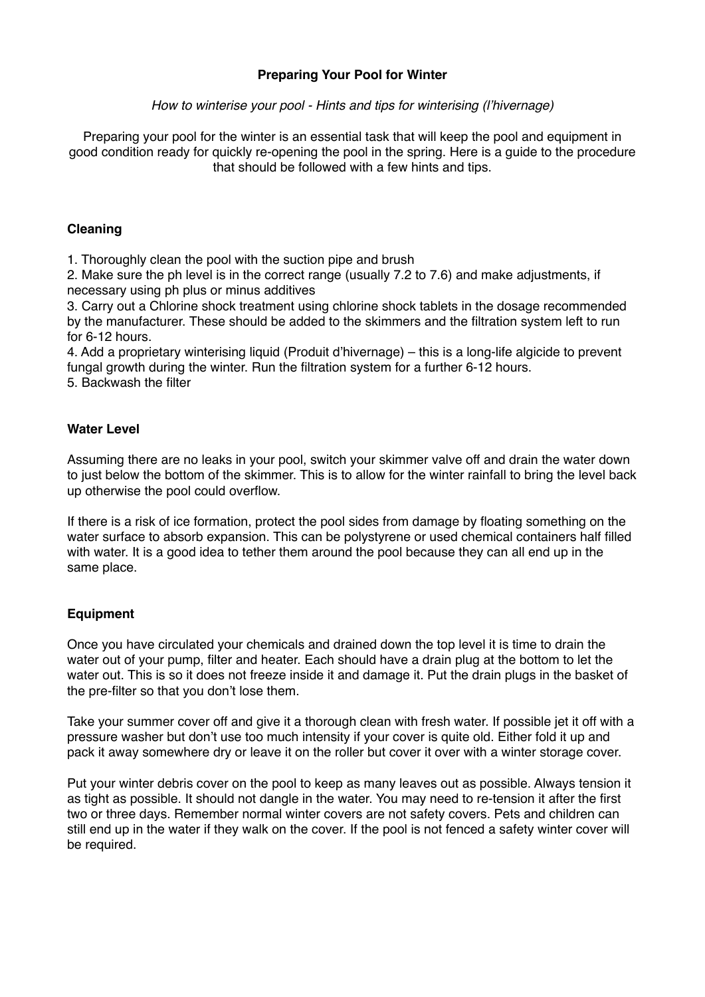## **Preparing Your Pool for Winter**

*How to winterise your pool - Hints and tips for winterising (l'hivernage)*

Preparing your pool for the winter is an essential task that will keep the pool and equipment in good condition ready for quickly re-opening the pool in the spring. Here is a guide to the procedure that should be followed with a few hints and tips.

#### **Cleaning**

1. Thoroughly clean the pool with the suction pipe and brush

2. Make sure the ph level is in the correct range (usually 7.2 to 7.6) and make adjustments, if necessary using ph plus or minus additives

3. Carry out a Chlorine shock treatment using chlorine shock tablets in the dosage recommended by the manufacturer. These should be added to the skimmers and the filtration system left to run for 6-12 hours.

4. Add a proprietary winterising liquid (Produit d'hivernage) – this is a long-life algicide to prevent fungal growth during the winter. Run the filtration system for a further 6-12 hours.

5. Backwash the filter

### **Water Level**

Assuming there are no leaks in your pool, switch your skimmer valve off and drain the water down to just below the bottom of the skimmer. This is to allow for the winter rainfall to bring the level back up otherwise the pool could overflow.

If there is a risk of ice formation, protect the pool sides from damage by floating something on the water surface to absorb expansion. This can be polystyrene or used chemical containers half filled with water. It is a good idea to tether them around the pool because they can all end up in the same place.

### **Equipment**

Once you have circulated your chemicals and drained down the top level it is time to drain the water out of your pump, filter and heater. Each should have a drain plug at the bottom to let the water out. This is so it does not freeze inside it and damage it. Put the drain plugs in the basket of the pre-filter so that you don't lose them.

Take your summer cover off and give it a thorough clean with fresh water. If possible jet it off with a pressure washer but don't use too much intensity if your cover is quite old. Either fold it up and pack it away somewhere dry or leave it on the roller but cover it over with a winter storage cover.

Put your winter debris cover on the pool to keep as many leaves out as possible. Always tension it as tight as possible. It should not dangle in the water. You may need to re-tension it after the first two or three days. Remember normal winter covers are not safety covers. Pets and children can still end up in the water if they walk on the cover. If the pool is not fenced a safety winter cover will be required.